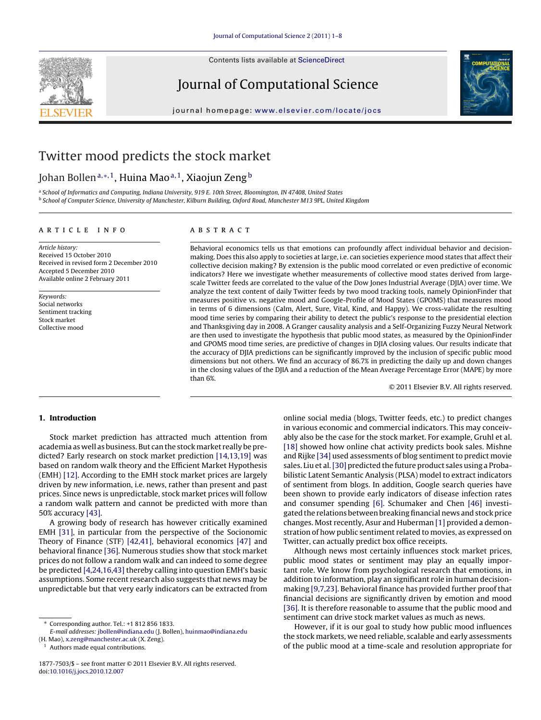Contents lists available at [ScienceDirect](http://www.sciencedirect.com/science/journal/18777503)

Journal of Computational Science



journal homepage: [www.elsevier.com/locate/jocs](http://www.elsevier.com/locate/jocs)

# Twitter mood predicts the stock market

## Johan Bollen<sup>a,∗,1</sup>, Huina Mao<sup>a,1</sup>, Xiaojun Zeng<sup>b</sup>

<sup>a</sup> School of Informatics and Computing, Indiana University, 919 E. 10th Street, Bloomington, IN 47408, United States <sup>b</sup> School of Computer Science, University of Manchester, Kilburn Building, Oxford Road, Manchester M13 9PL, United Kingdom

## article info

Article history: Received 15 October 2010 Received in revised form 2 December 2010 Accepted 5 December 2010 Available online 2 February 2011

Keywords: Social networks Sentiment tracking Stock market Collective mood

## ABSTRACT

Behavioral economics tells us that emotions can profoundly affect individual behavior and decisionmaking. Does this also apply to societies at large, i.e. can societies experience mood states that affect their collective decision making? By extension is the public mood correlated or even predictive of economic indicators? Here we investigate whether measurements of collective mood states derived from largescale Twitter feeds are correlated to the value of the Dow Jones Industrial Average (DJIA) over time. We analyze the text content of daily Twitter feeds by two mood tracking tools, namely OpinionFinder that measures positive vs. negative mood and Google-Profile of Mood States (GPOMS) that measures mood in terms of 6 dimensions (Calm, Alert, Sure, Vital, Kind, and Happy). We cross-validate the resulting mood time series by comparing their ability to detect the public's response to the presidential election and Thanksgiving day in 2008. A Granger causality analysis and a Self-Organizing Fuzzy Neural Network are then used to investigate the hypothesis that public mood states, as measured by the OpinionFinder and GPOMS mood time series, are predictive of changes in DJIA closing values. Our results indicate that the accuracy of DJIA predictions can be significantly improved by the inclusion of specific public mood dimensions but not others. We find an accuracy of 86.7% in predicting the daily up and down changes in the closing values of the DJIA and a reduction of the Mean Average Percentage Error (MAPE) by more than 6%.

© 2011 Elsevier B.V. All rights reserved.

## **1. Introduction**

Stock market prediction has attracted much attention from academia as well as business. But can the stockmarket really be predicted? Early research on stock market prediction [\[14,13,19\]](#page-6-0) was based on random walk theory and the Efficient Market Hypothesis (EMH) [\[12\]. A](#page-6-0)ccording to the EMH stock market prices are largely driven by new information, i.e. news, rather than present and past prices. Since news is unpredictable, stock market prices will follow a random walk pattern and cannot be predicted with more than 50% accuracy [\[43\].](#page-7-0)

A growing body of research has however critically examined EMH [\[31\],](#page-7-0) in particular from the perspective of the Socionomic Theory of Finance (STF) [\[42,41\],](#page-7-0) behavioral economics [\[47\]](#page-7-0) and behavioral finance [\[36\]. N](#page-7-0)umerous studies show that stock market prices do not follow a random walk and can indeed to some degree be predicted [\[4,24,16,43\]](#page-6-0) thereby calling into question EMH's basic assumptions. Some recent research also suggests that news may be unpredictable but that very early indicators can be extracted from

Authors made equal contributions.

online social media (blogs, Twitter feeds, etc.) to predict changes in various economic and commercial indicators. This may conceivably also be the case for the stock market. For example, Gruhl et al. [\[18\]](#page-7-0) showed how online chat activity predicts book sales. Mishne and Rijke [\[34\]](#page-7-0) used assessments of blog sentiment to predict movie sales. Liu et al.[\[30\]](#page-7-0) predicted the future product sales using a Probabilistic Latent Semantic Analysis (PLSA) model to extract indicators of sentiment from blogs. In addition, Google search queries have been shown to provide early indicators of disease infection rates and consumer spending [\[6\].](#page-6-0) Schumaker and Chen [\[46\]](#page-7-0) investigated the relations between breaking financial news and stock price changes. Most recently, Asur and Huberman [\[1\]](#page-6-0) provided a demonstration of how public sentiment related to movies, as expressed on Twitter, can actually predict box office receipts.

Although news most certainly influences stock market prices, public mood states or sentiment may play an equally important role. We know from psychological research that emotions, in addition to information, play an significant role in human decisionmaking [\[9,7,23\]. B](#page-6-0)ehavioral finance has provided further proof that financial decisions are significantly driven by emotion and mood [\[36\]. I](#page-7-0)t is therefore reasonable to assume that the public mood and sentiment can drive stock market values as much as news.

However, if it is our goal to study how public mood influences the stock markets, we need reliable, scalable and early assessments of the public mood at a time-scale and resolution appropriate for

<sup>∗</sup> Corresponding author. Tel.: +1 812 856 1833.

E-mail addresses: [jbollen@indiana.edu](mailto:jbollen@indiana.edu) (J. Bollen), [huinmao@indiana.edu](mailto:huinmao@indiana.edu) (H. Mao), [x.zeng@manchester.ac.uk](mailto:x.zeng@manchester.ac.uk) (X. Zeng).

<sup>1877-7503/\$ –</sup> see front matter © 2011 Elsevier B.V. All rights reserved. doi:[10.1016/j.jocs.2010.12.007](dx.doi.org/10.1016/j.jocs.2010.12.007)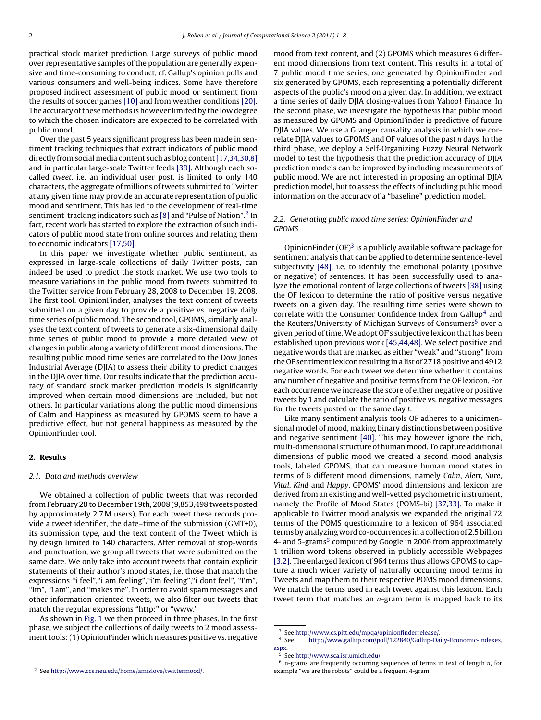practical stock market prediction. Large surveys of public mood over representative samples of the population are generally expensive and time-consuming to conduct, cf. Gallup's opinion polls and various consumers and well-being indices. Some have therefore proposed indirect assessment of public mood or sentiment from the results of soccer games [\[10\]](#page-6-0) and from weather conditions [\[20\].](#page-7-0) The accuracy of these methods is however limited by the low degree to which the chosen indicators are expected to be correlated with public mood.

Over the past 5 years significant progress has been made in sentiment tracking techniques that extract indicators of public mood directly from social media content such as blog content [\[17,34,30,8\]](#page-7-0) and in particular large-scale Twitter feeds [\[39\]. A](#page-7-0)lthough each socalled tweet, i.e. an individual user post, is limited to only 140 characters, the aggregate of millions of tweets submitted to Twitter at any given time may provide an accurate representation of public mood and sentiment. This has led to the development of real-time sentiment-tracking indicators such as [\[8\]](#page-6-0) and "Pulse of Nation".2 In fact, recent work has started to explore the extraction of such indicators of public mood state from online sources and relating them to economic indicators [\[17,50\].](#page-7-0)

In this paper we investigate whether public sentiment, as expressed in large-scale collections of daily Twitter posts, can indeed be used to predict the stock market. We use two tools to measure variations in the public mood from tweets submitted to the Twitter service from February 28, 2008 to December 19, 2008. The first tool, OpinionFinder, analyses the text content of tweets submitted on a given day to provide a positive vs. negative daily time series of public mood. The second tool, GPOMS, similarly analyses the text content of tweets to generate a six-dimensional daily time series of public mood to provide a more detailed view of changes in public along a variety of different mood dimensions. The resulting public mood time series are correlated to the Dow Jones Industrial Average (DJIA) to assess their ability to predict changes in the DJIA over time. Our results indicate that the prediction accuracy of standard stock market prediction models is significantly improved when certain mood dimensions are included, but not others. In particular variations along the public mood dimensions of Calm and Happiness as measured by GPOMS seem to have a predictive effect, but not general happiness as measured by the OpinionFinder tool.

## **2. Results**

## 2.1. Data and methods overview

We obtained a collection of public tweets that was recorded from February 28 to December 19th, 2008 (9,853,498 tweets posted by approximately 2.7 M users). For each tweet these records provide a tweet identifier, the date–time of the submission (GMT+0), its submission type, and the text content of the Tweet which is by design limited to 140 characters. After removal of stop-words and punctuation, we group all tweets that were submitted on the same date. We only take into account tweets that contain explicit statements of their author's mood states, i.e. those that match the expressions "i feel","i am feeling","i'm feeling","i dont feel", "I'm", "Im", "I am", and "makes me". In order to avoid spam messages and other information-oriented tweets, we also filter out tweets that match the regular expressions "http:" or "www."

As shown in [Fig. 1](#page-2-0) we then proceed in three phases. In the first phase, we subject the collections of daily tweets to 2 mood assessment tools: (1) OpinionFinder which measures positive vs. negative

mood from text content, and (2) GPOMS which measures 6 different mood dimensions from text content. This results in a total of 7 public mood time series, one generated by OpinionFinder and six generated by GPOMS, each representing a potentially different aspects of the public's mood on a given day. In addition, we extract a time series of daily DJIA closing-values from Yahoo! Finance. In the second phase, we investigate the hypothesis that public mood as measured by GPOMS and OpinionFinder is predictive of future DJIA values. We use a Granger causality analysis in which we correlate DJIA values to GPOMS and OF values of the past n days. In the third phase, we deploy a Self-Organizing Fuzzy Neural Network model to test the hypothesis that the prediction accuracy of DJIA prediction models can be improved by including measurements of public mood. We are not interested in proposing an optimal DJIA prediction model, but to assess the effects of including public mood information on the accuracy of a "baseline" prediction model.

## 2.2. Generating public mood time series: OpinionFinder and GPOMS

OpinionFinder  $(OF)^3$  is a publicly available software package for sentiment analysis that can be applied to determine sentence-level subjectivity [\[48\],](#page-7-0) i.e. to identify the emotional polarity (positive or negative) of sentences. It has been successfully used to analyze the emotional content of large collections of tweets [\[38\]](#page-7-0) using the OF lexicon to determine the ratio of positive versus negative tweets on a given day. The resulting time series were shown to correlate with the Consumer Confidence Index from Gallup<sup>4</sup> and the Reuters/University of Michigan Surveys of Consumers<sup>5</sup> over a given period of time.We adopt OF's subjective lexicon that has been established upon previous work [\[45,44,48\]. W](#page-7-0)e select positive and negative words that are marked as either "weak" and "strong" from the OF sentiment lexicon resulting in a list of 2718 positive and 4912 negative words. For each tweet we determine whether it contains any number of negative and positive terms from the OF lexicon. For each occurrence we increase the score of either negative or positive tweets by 1 and calculate the ratio of positive vs. negative messages for the tweets posted on the same day t.

Like many sentiment analysis tools OF adheres to a unidimensional model of mood, making binary distinctions between positive and negative sentiment [\[40\].](#page-7-0) This may however ignore the rich, multi-dimensional structure of human mood. To capture additional dimensions of public mood we created a second mood analysis tools, labeled GPOMS, that can measure human mood states in terms of 6 different mood dimensions, namely Calm, Alert, Sure, Vital, Kind and Happy. GPOMS' mood dimensions and lexicon are derived from an existing and well-vetted psychometric instrument, namely the Profile of Mood States (POMS-bi) [\[37,33\].](#page-7-0) To make it applicable to Twitter mood analysis we expanded the original 72 terms of the POMS questionnaire to a lexicon of 964 associated terms by analyzing word co-occurrences in a collection of 2.5 billion 4- and 5-grams<sup>6</sup> computed by Google in 2006 from approximately 1 trillion word tokens observed in publicly accessible Webpages [\[3,2\]. T](#page-6-0)he enlarged lexicon of 964 terms thus allows GPOMS to capture a much wider variety of naturally occurring mood terms in Tweets and map them to their respective POMS mood dimensions. We match the terms used in each tweet against this lexicon. Each tweet term that matches an n-gram term is mapped back to its

<sup>2</sup> See [http://www.ccs.neu.edu/home/amislove/twittermood/.](http://www.ccs.neu.edu/home/amislove/twittermood/)

 $^3$  See <http://www.cs.pitt.edu/mpqa/opinionfinderrelease/>.  $^4$  See http://www.gallup.com/poll/122840/Gallup-Da

[http://www.gallup.com/poll/122840/Gallup-Daily-Economic-Indexes.](http://www.gallup.com/poll/122840/Gallup-Daily-Economic-Indexes.aspx) [aspx](http://www.gallup.com/poll/122840/Gallup-Daily-Economic-Indexes.aspx).

<sup>5</sup> See <http://www.sca.isr.umich.edu/>.

 $6$  n-grams are frequently occurring sequences of terms in text of length n, for example "we are the robots" could be a frequent 4-gram.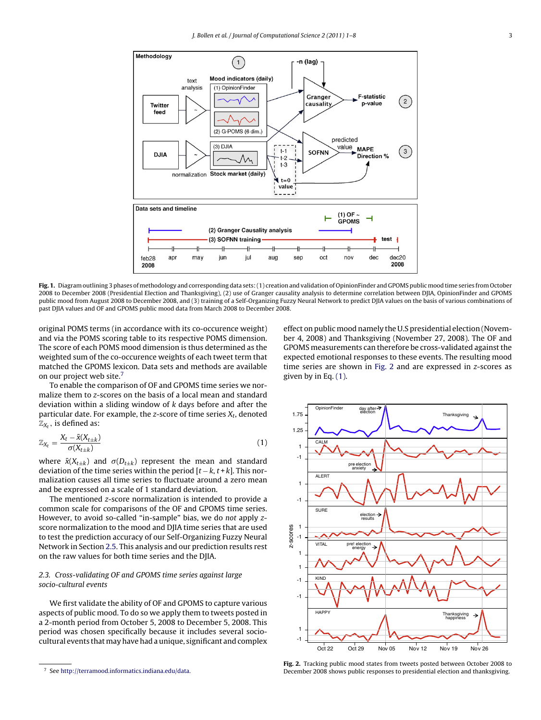<span id="page-2-0"></span>

**Fig. 1.** Diagram outlining 3 phases of methodology and corresponding data sets: (1) creation and validation of OpinionFinder and GPOMS public mood time series from October 2008 to December 2008 (Presidential Election and Thanksgiving), (2) use of Granger causality analysis to determine correlation between DJIA, OpinionFinder and GPOMS public mood from August 2008 to December 2008, and (3) training of a Self-Organizing Fuzzy Neural Network to predict DJIA values on the basis of various combinations of past DJIA values and OF and GPOMS public mood data from March 2008 to December 2008.

original POMS terms (in accordance with its co-occurence weight) and via the POMS scoring table to its respective POMS dimension. The score of each POMS mood dimension is thus determined as the weighted sum of the co-occurence weights of each tweet term that matched the GPOMS lexicon. Data sets and methods are available on our project web site.<sup>7</sup>

To enable the comparison of OF and GPOMS time series we normalize them to z-scores on the basis of a local mean and standard deviation within a sliding window of k days before and after the particular date. For example, the z-score of time series  $X_t$ , denoted  $\mathbb{Z}_{X_t}$ , is defined as:

$$
\mathbb{Z}_{X_t} = \frac{X_t - \bar{x}(X_{t\pm k})}{\sigma(X_{t\pm k})}
$$
\n(1)

where  $\bar{x}(X_{t\pm k})$  and  $\sigma(D_{t\pm k})$  represent the mean and standard deviation of the time series within the period  $[t - k, t + k]$ . This normalization causes all time series to fluctuate around a zero mean and be expressed on a scale of 1 standard deviation.

The mentioned z-score normalization is intended to provide a common scale for comparisons of the OF and GPOMS time series. However, to avoid so-called "in-sample" bias, we do not apply zscore normalization to the mood and DJIA time series that are used to test the prediction accuracy of our Self-Organizing Fuzzy Neural Network in Section [2.5. T](#page-4-0)his analysis and our prediction results rest on the raw values for both time series and the DJIA.

## 2.3. Cross-validating OF and GPOMS time series against large socio-cultural events

We first validate the ability of OF and GPOMS to capture various aspects of public mood. To do so we apply them to tweets posted in a 2-month period from October 5, 2008 to December 5, 2008. This period was chosen specifically because it includes several sociocultural events thatmay have had a unique, significant and complex

effect on public mood namely the U.S presidential election (November 4, 2008) and Thanksgiving (November 27, 2008). The OF and GPOMS measurements can therefore be cross-validated against the expected emotional responses to these events. The resulting mood time series are shown in Fig. 2 and are expressed in z-scores as given by in Eq. (1).



**Fig. 2.** Tracking public mood states from tweets posted between October 2008 to December 2008 shows public responses to presidential election and thanksgiving.

See [http://terramood.informatics.indiana.edu/data.](http://terramood.informatics.indiana.edu/data)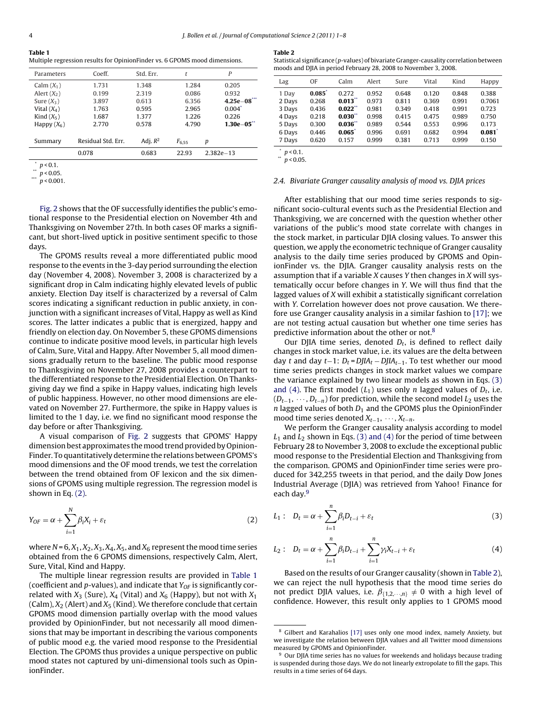<span id="page-3-0"></span>**Table 1** Multiple regression results for OpinionFinder vs. 6 GPOMS mood dimensions.

| Parameters           | Coeff.             | Std. Err.  | t                      | P             |
|----------------------|--------------------|------------|------------------------|---------------|
| Calm $(X_1)$         | 1.731              | 1.348      | 1.284                  | 0.205         |
| Alert $(X_2)$        | 0.199              | 2.319      | 0.086                  | 0.932         |
| Sure $(X_3)$         | 3.897              | 0.613      | 6.356                  | $4.25e-08$    |
| Vital $(X_4)$        | 1.763              | 0.595      | 2.965                  | $0.004^*$     |
| Kind $(X_5)$         | 1.687              | 1.377      | 1.226                  | 0.226         |
| Happy $(X_6)$        | 2.770              | 0.578      | 4.790                  | $1.30e - 05"$ |
|                      |                    |            |                        |               |
| Summary              | Residual Std. Err. | Adj. $R^2$ | $F_{6.55}$             | р             |
|                      | 0.078              | 0.683      | 22.93<br>$2.382e - 13$ |               |
| $\sim$ $\sim$ $\sim$ |                    |            |                        |               |

 $p < 0.1$ .  $p < 0.05$ .

 $p < 0.001$ .

[Fig. 2](#page-2-0) shows that the OF successfully identifies the public's emotional response to the Presidential election on November 4th and Thanksgiving on November 27th. In both cases OF marks a significant, but short-lived uptick in positive sentiment specific to those days.

The GPOMS results reveal a more differentiated public mood response to the events in the 3-day period surrounding the election day (November 4, 2008). November 3, 2008 is characterized by a significant drop in Calm indicating highly elevated levels of public anxiety. Election Day itself is characterized by a reversal of Calm scores indicating a significant reduction in public anxiety, in conjunction with a significant increases of Vital, Happy as well as Kind scores. The latter indicates a public that is energized, happy and friendly on election day. On November 5, these GPOMS dimensions continue to indicate positive mood levels, in particular high levels of Calm, Sure, Vital and Happy. After November 5, all mood dimensions gradually return to the baseline. The public mood response to Thanksgiving on November 27, 2008 provides a counterpart to the differentiated response to the Presidential Election. On Thanksgiving day we find a spike in Happy values, indicating high levels of public happiness. However, no other mood dimensions are elevated on November 27. Furthermore, the spike in Happy values is limited to the 1 day, i.e. we find no significant mood response the day before or after Thanksgiving.

A visual comparison of [Fig. 2](#page-2-0) suggests that GPOMS' Happy dimension best approximates the mood trend provided by Opinion-Finder. To quantitatively determine the relations between GPOMS's mood dimensions and the OF mood trends, we test the correlation between the trend obtained from OF lexicon and the six dimensions of GPOMS using multiple regression. The regression model is shown in Eq. (2).

$$
Y_{OF} = \alpha + \sum_{i=1}^{N} \beta_i X_i + \varepsilon_t \tag{2}
$$

where  $N = 6, X_1, X_2, X_3, X_4, X_5$ , and  $X_6$  represent the mood time series obtained from the 6 GPOMS dimensions, respectively Calm, Alert, Sure, Vital, Kind and Happy.

The multiple linear regression results are provided in Table 1 (coefficient and p-values), and indicate that  $Y_{OF}$  is significantly correlated with  $X_3$  (Sure),  $X_4$  (Vital) and  $X_6$  (Happy), but not with  $X_1$ (Calm),  $X_2$  (Alert) and  $X_5$  (Kind). We therefore conclude that certain GPOMS mood dimension partially overlap with the mood values provided by OpinionFinder, but not necessarily all mood dimensions that may be important in describing the various components of public mood e.g. the varied mood response to the Presidential Election. The GPOMS thus provides a unique perspective on public mood states not captured by uni-dimensional tools such as OpinionFinder.

### **Table 2**

Statistical significance (p-values) of bivariate Granger-causality correlation between moods and DJIA in period February 28, 2008 to November 3, 2008.

| Lag    | OF        | Calm       | Alert | Sure  | Vital | Kind  | Happy                |
|--------|-----------|------------|-------|-------|-------|-------|----------------------|
| 1 Day  | $0.085^*$ | 0.272      | 0.952 | 0.648 | 0.120 | 0.848 | 0.388                |
| 2 Days | 0.268     | $0.013$ ** | 0.973 | 0.811 | 0.369 | 0.991 | 0.7061               |
| 3 Days | 0.436     | $0.022$ ** | 0.981 | 0.349 | 0.418 | 0.991 | 0.723                |
| 4 Days | 0.218     | $0.030**$  | 0.998 | 0.415 | 0.475 | 0.989 | 0.750                |
| 5 Days | 0.300     | $0.036**$  | 0.989 | 0.544 | 0.553 | 0.996 | 0.173                |
| 6 Days | 0.446     | $0.065*$   | 0.996 | 0.691 | 0.682 | 0.994 | $0.081$ <sup>*</sup> |
| 7 Days | 0.620     | 0.157      | 0.999 | 0.381 | 0.713 | 0.999 | 0.150                |
|        |           |            |       |       |       |       |                      |

 $*$   $\,p$  < 0.1.  $p < 0.05$ 

#### 2.4. Bivariate Granger causality analysis of mood vs. DJIA prices

After establishing that our mood time series responds to significant socio-cultural events such as the Presidential Election and Thanksgiving, we are concerned with the question whether other variations of the public's mood state correlate with changes in the stock market, in particular DJIA closing values. To answer this question, we apply the econometric technique of Granger causality analysis to the daily time series produced by GPOMS and OpinionFinder vs. the DJIA. Granger causality analysis rests on the assumption that if a variable  $X$  causes  $Y$  then changes in  $X$  will systematically occur before changes in Y. We will thus find that the lagged values of X will exhibit a statistically significant correlation with Y. Correlation however does not prove causation. We therefore use Granger causality analysis in a similar fashion to [\[17\];](#page-7-0) we are not testing actual causation but whether one time series has predictive information about the other or not.<sup>8</sup>

Our DJIA time series, denoted  $D_t$ , is defined to reflect daily changes in stock market value, i.e. its values are the delta between day t and day t−1:  $D_t = D J I A_t - D J I A_{t-1}$ . To test whether our mood time series predicts changes in stock market values we compare the variance explained by two linear models as shown in Eqs. (3) and (4). The first model  $(L_1)$  uses only *n* lagged values of  $D_t$ , i.e.  $(D_{t-1}, \dots, D_{t-n})$  for prediction, while the second model  $L_2$  uses the  $n$  lagged values of both  $D_1$  and the GPOMS plus the OpinionFinder mood time series denoted  $X_{t-1}$ ,  $\cdots$ ,  $X_{t-n}$ .

We perform the Granger causality analysis according to model  $L_1$  and  $L_2$  shown in Eqs. (3) and (4) for the period of time between February 28 to November 3, 2008 to exclude the exceptional public mood response to the Presidential Election and Thanksgiving from the comparison. GPOMS and OpinionFinder time series were produced for 342,255 tweets in that period, and the daily Dow Jones Industrial Average (DJIA) was retrieved from Yahoo! Finance for each day.9

$$
L_1: D_t = \alpha + \sum_{i=1}^n \beta_i D_{t-i} + \varepsilon_t
$$
\n(3)

$$
L_2: D_t = \alpha + \sum_{i=1}^n \beta_i D_{t-i} + \sum_{i=1}^n \gamma_i X_{t-i} + \varepsilon_t
$$
 (4)

Based on the results of our Granger causality (shown in Table 2), we can reject the null hypothesis that the mood time series do not predict DJIA values, i.e.  $\beta_{\{1,2,\cdots,n\}} \neq 0$  with a high level of confidence. However, this result only applies to 1 GPOMS mood

<sup>8</sup> Gilbert and Karahalios [\[17\]](#page-7-0) uses only one mood index, namely Anxiety, but we investigate the relation between DJIA values and all Twitter mood dimensions measured by GPOMS and OpinionFinder.

<sup>9</sup> Our DJIA time series has no values for weekends and holidays because trading is suspended during those days. We do not linearly extropolate to fill the gaps. This results in a time series of 64 days.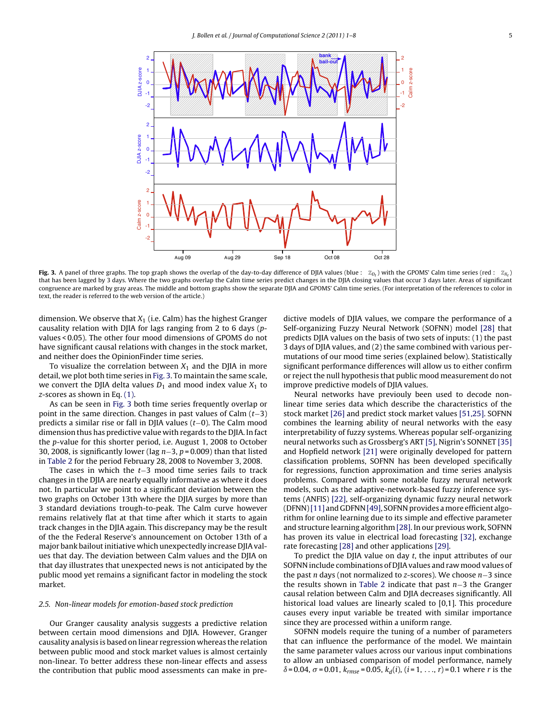<span id="page-4-0"></span>

**Fig. 3.** A panel of three graphs. The top graph shows the overlap of the day-to-day difference of DJIA values (blue :  $\mathbb{Z}_{D_t}$ ) with the GPOMS' Calm time series (red :  $\mathbb{Z}_{X_t}$ ) that has been lagged by 3 days. Where the two graphs overlap the Calm time series predict changes in the DJIA closing values that occur 3 days later. Areas of significant congruence are marked by gray areas. The middle and bottom graphs show the separate DJIA and GPOMS' Calm time series. (For interpretation of the references to color in text, the reader is referred to the web version of the article.)

dimension. We observe that  $X_1$  (i.e. Calm) has the highest Granger causality relation with DJIA for lags ranging from 2 to 6 days (pvalues < 0.05). The other four mood dimensions of GPOMS do not have significant causal relations with changes in the stock market, and neither does the OpinionFinder time series.

To visualize the correlation between  $X_1$  and the DJIA in more detail, we plot both time series in Fig. 3. To maintain the same scale, we convert the DJIA delta values  $D_1$  and mood index value  $X_1$  to z-scores as shown in Eq. [\(1\).](#page-2-0)

As can be seen in Fig. 3 both time series frequently overlap or point in the same direction. Changes in past values of Calm  $(t-3)$ predicts a similar rise or fall in DJIA values (t−0). The Calm mood dimension thus has predictive value with regards to the DJIA. In fact the p-value for this shorter period, i.e. August 1, 2008 to October 30, 2008, is significantly lower (lag n−3, p = 0.009) than that listed in [Table 2](#page-3-0) for the period February 28, 2008 to November 3, 2008.

The cases in which the t−3 mood time series fails to track changes in the DJIA are nearly equally informative as where it does not. In particular we point to a significant deviation between the two graphs on October 13th where the DJIA surges by more than 3 standard deviations trough-to-peak. The Calm curve however remains relatively flat at that time after which it starts to again track changes in the DJIA again. This discrepancy may be the result of the the Federal Reserve's announcement on October 13th of a major bank bailout initiative which unexpectedly increase DJIA values that day. The deviation between Calm values and the DJIA on that day illustrates that unexpected news is not anticipated by the public mood yet remains a significant factor in modeling the stock market.

## 2.5. Non-linear models for emotion-based stock prediction

Our Granger causality analysis suggests a predictive relation between certain mood dimensions and DJIA. However, Granger causality analysis is based on linear regression whereas the relation between public mood and stock market values is almost certainly non-linear. To better address these non-linear effects and assess the contribution that public mood assessments can make in pre-

dictive models of DJIA values, we compare the performance of a Self-organizing Fuzzy Neural Network (SOFNN) model [\[28\]](#page-7-0) that predicts DJIA values on the basis of two sets of inputs: (1) the past 3 days of DJIA values, and (2) the same combined with various permutations of our mood time series (explained below). Statistically significant performance differences will allow us to either confirm or reject the null hypothesis that public mood measurement do not improve predictive models of DJIA values.

Neural networks have previouly been used to decode nonlinear time series data which describe the characteristics of the stock market [\[26\]](#page-7-0) and predict stock market values [\[51,25\]. S](#page-7-0)OFNN combines the learning ability of neural networks with the easy interpretability of fuzzy systems. Whereas popular self-organizing neural networks such as Grossberg's ART [\[5\], N](#page-6-0)igrin's SONNET [\[35\]](#page-7-0) and Hopfield network [\[21\]](#page-7-0) were originally developed for pattern classification problems, SOFNN has been developed specifically for regressions, function approximation and time series analysis problems. Compared with some notable fuzzy nerural network models, such as the adaptive-network-based fuzzy inference systems (ANFIS) [\[22\], s](#page-7-0)elf-organizing dynamic fuzzy neural network (DFNN)[\[11\]](#page-6-0) and GDFNN [\[49\], S](#page-7-0)OFNN provides amore efficient algorithm for online learning due to its simple and effective parameter and structure learning algorithm [\[28\]. I](#page-7-0)n our previous work, SOFNN has proven its value in electrical load forecasting [\[32\], e](#page-7-0)xchange rate forecasting [\[28\]](#page-7-0) and other applications [\[29\].](#page-7-0)

To predict the DJIA value on day  $t$ , the input attributes of our SOFNN include combinations of DJIA values and raw mood values of the past n days (not normalized to z-scores). We choose n−3 since the results shown in [Table 2](#page-3-0) indicate that past n−3 the Granger causal relation between Calm and DJIA decreases significantly. All historical load values are linearly scaled to [0,1]. This procedure causes every input variable be treated with similar importance since they are processed within a uniform range.

SOFNN models require the tuning of a number of parameters that can influence the performance of the model. We maintain the same parameter values across our various input combinations to allow an unbiased comparison of model performance, namely  $\delta$  = 0.04,  $\sigma$  = 0.01,  $k_{rmse}$  = 0.05,  $k_d(i)$ , (*i* = 1, ..., *r*) = 0.1 where *r* is the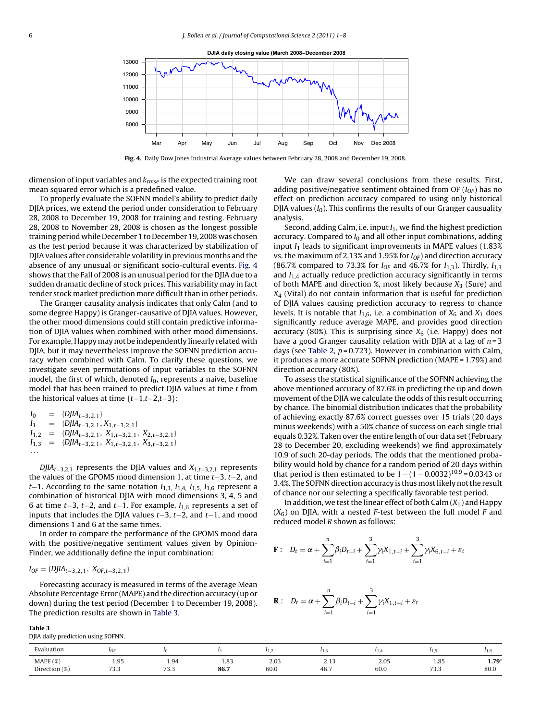

**Fig. 4.** Daily Dow Jones Industrial Average values between February 28, 2008 and December 19, 2008.

dimension of input variables and  $k_{\text{rmse}}$  is the expected training root mean squared error which is a predefined value.

To properly evaluate the SOFNN model's ability to predict daily DJIA prices, we extend the period under consideration to February 28, 2008 to December 19, 2008 for training and testing. February 28, 2008 to November 28, 2008 is chosen as the longest possible training period while December 1 to December 19, 2008 was chosen as the test period because it was characterized by stabilization of DJIA values after considerable volatility in previous months and the absence of any unusual or significant socio-cultural events. Fig. 4 shows that the Fall of 2008 is an unusual period for the DJIA due to a sudden dramatic decline of stock prices. This variability may in fact render stock market prediction more difficult than in other periods.

The Granger causality analysis indicates that only Calm (and to some degree Happy) is Granger-causative of DJIA values. However, the other mood dimensions could still contain predictive information of DJIA values when combined with other mood dimensions. For example, Happy may not be independently linearly related with DJIA, but it may nevertheless improve the SOFNN prediction accuracy when combined with Calm. To clarify these questions, we investigate seven permutations of input variables to the SOFNN model, the first of which, denoted  $I_0$ , represents a naive, baseline model that has been trained to predict DJIA values at time  $t$  from the historical values at time  ${t-1,t-2,t-3}$ :

$$
I_0 = {DJIA_{t-3,2,1}}
$$
  
\n
$$
I_1 = {DJIA_{t-3,2,1}, X_{1,t-3,2,1}}
$$
  
\n
$$
I_{1,2} = {DJIA_{t-3,2,1}, X_{1,t-3,2,1}, X_{2,t-3,2,1}}
$$
  
\n
$$
I_{1,3} = {DJIA_{t-3,2,1}, X_{1,t-3,2,1}, X_{3,t-3,2,1}}
$$
  
\n...

DJIA<sub>t−3,2,1</sub> represents the DJIA values and  $X_{1,t-3,2,1}$  represents the values of the GPOMS mood dimension 1, at time t−3, t−2, and t−1. According to the same notation  $I_{1,3}$ ,  $I_{1,4}$ ,  $I_{1,5}$ ,  $I_{1,6}$  represent a combination of historical DJIA with mood dimensions 3, 4, 5 and 6 at time  $t-3$ ,  $t-2$ , and  $t-1$ . For example,  $I_{1,6}$  represents a set of inputs that includes the DJIA values  $t-3$ ,  $t-2$ , and  $t-1$ , and mood dimensions 1 and 6 at the same times.

In order to compare the performance of the GPOMS mood data with the positive/negative sentiment values given by Opinion-Finder, we additionally define the input combination:

$$
I_{OF} = \{DJIA_{t-3,2,1}, X_{OF,t-3,2,1}\}
$$

**Table 3**

Forecasting accuracy is measured in terms of the average Mean Absolute Percentage Error (MAPE) and the direction accuracy (up or down) during the test period (December 1 to December 19, 2008). The prediction results are shown in Table 3.

We can draw several conclusions from these results. First, adding positive/negative sentiment obtained from OF  $(I<sub>OF</sub>)$  has no effect on prediction accuracy compared to using only historical DJIA values  $(I_0)$ . This confirms the results of our Granger causuality analysis.

Second, adding Calm, i.e. input  $I_1$ , we find the highest prediction accuracy. Compared to  $I_0$  and all other input combinations, adding input  $I_1$  leads to significant improvements in MAPE values (1.83%) vs. the maximum of 2.13% and 1.95% for  $I_{OF}$ ) and direction accuracy (86.7% compared to 73.3% for  $I_{OF}$  and 46.7% for  $I_{1,3}$ ). Thirdly,  $I_{1,3}$ and  $I_{1,4}$  actually reduce prediction accuracy significantly in terms of both MAPE and direction %, most likely because  $X_3$  (Sure) and  $X_4$  (Vital) do not contain information that is useful for prediction of DJIA values causing prediction accuracy to regress to chance levels. It is notable that  $I_{1,6}$ , i.e. a combination of  $X_6$  and  $X_1$  does significantly reduce average MAPE, and provides good direction accuracy (80%). This is surprising since  $X_6$  (i.e. Happy) does not have a good Granger causality relation with DJIA at a lag of  $n = 3$ days (see [Table 2,](#page-3-0)  $p = 0.723$ ). However in combination with Calm, it produces a more accurate SOFNN prediction (MAPE = 1.79%) and direction accuracy (80%).

To assess the statistical significance of the SOFNN achieving the above mentioned accuracy of 87.6% in predicting the up and down movement of the DJIA we calculate the odds of this result occurring by chance. The binomial distribution indicates that the probability of achieving exactly 87.6% correct guesses over 15 trials (20 days minus weekends) with a 50% chance of success on each single trial equals 0.32%. Taken over the entire length of our data set (February 28 to December 20, excluding weekends) we find approximately 10.9 of such 20-day periods. The odds that the mentioned probability would hold by chance for a random period of 20 days within that period is then estimated to be  $1 - (1 - 0.0032)^{10.9} = 0.0343$  or 3.4%. The SOFNN direction accuracy is thus most likely not the result of chance nor our selecting a specifically favorable test period.

In addition, we test the linear effect of both Calm  $(X_1)$  and Happy  $(X<sub>6</sub>)$  on DJIA, with a nested *F*-test between the full model *F* and reduced model R shown as follows:

$$
\mathbf{F}: \ \ D_t = \alpha + \sum_{i=1}^n \beta_i D_{t-i} + \sum_{i=1}^3 \gamma_i X_{1,t-i} + \sum_{i=1}^3 \gamma_i X_{6,t-i} + \varepsilon_t
$$

$$
\mathbf{R}: \quad D_t = \alpha + \sum_{i=1}^n \beta_i D_{t-i} + \sum_{i=1}^3 \gamma_i X_{1,t-i} + \varepsilon_t
$$

| DJIA daily prediction using SOFNN. |  |  |  |  |  |  |
|------------------------------------|--|--|--|--|--|--|
| <b>Evaluation</b>                  |  |  |  |  |  |  |
|                                    |  |  |  |  |  |  |

| Evaluation    | <b>STATISTICS</b>     |                                 |      |              |      |      |                        | $\cdots$ |
|---------------|-----------------------|---------------------------------|------|--------------|------|------|------------------------|----------|
| MAPE (%)      | $\Omega$<br>J         | Q<br>$\cdot$ .                  | 1.83 | 2.03         | 2.1. | 2.05 | 1.85                   | $1.79*$  |
| Direction (%) | $\sim$ $\sim$<br>ت. ب | $\overline{\phantom{a}}$<br>ر.ر | 86.7 | ሬስ በ<br>ov.u | 46.7 | 60.0 | $\sim$ $\sim$<br>ر.ر ا | 80.0     |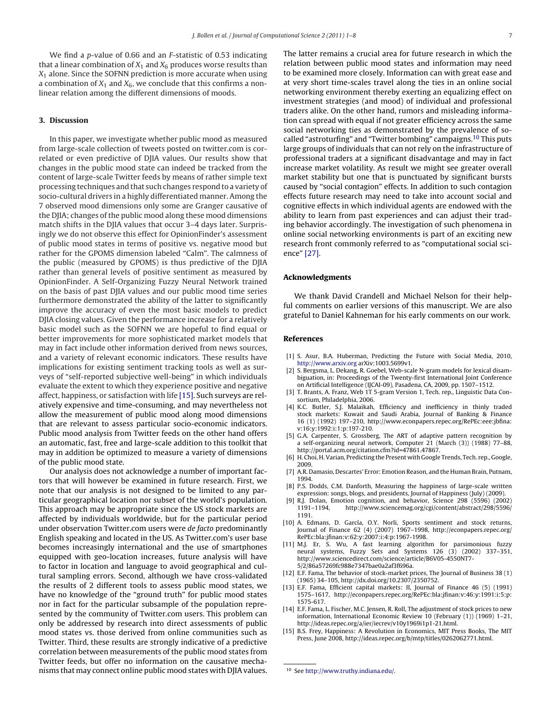<span id="page-6-0"></span>We find a *p*-value of 0.66 and an *F*-statistic of 0.53 indicating that a linear combination of  $X_1$  and  $X_6$  produces worse results than  $X_1$  alone. Since the SOFNN prediction is more accurate when using a combination of  $X_1$  and  $X_6$ , we conclude that this confirms a nonlinear relation among the different dimensions of moods.

## **3. Discussion**

In this paper, we investigate whether public mood as measured from large-scale collection of tweets posted on twitter.com is correlated or even predictive of DJIA values. Our results show that changes in the public mood state can indeed be tracked from the content of large-scale Twitter feeds by means of rather simple text processing techniques and that such changes respond to a variety of socio-cultural drivers in a highly differentiated manner. Among the 7 observed mood dimensions only some are Granger causative of the DJIA; changes of the public mood along these mood dimensions match shifts in the DJIA values that occur 3–4 days later. Surprisingly we do not observe this effect for OpinionFinder's assessment of public mood states in terms of positive vs. negative mood but rather for the GPOMS dimension labeled "Calm". The calmness of the public (measured by GPOMS) is thus predictive of the DJIA rather than general levels of positive sentiment as measured by OpinionFinder. A Self-Organizing Fuzzy Neural Network trained on the basis of past DJIA values and our public mood time series furthermore demonstrated the ability of the latter to significantly improve the accuracy of even the most basic models to predict DJIA closing values. Given the performance increase for a relatively basic model such as the SOFNN we are hopeful to find equal or better improvements for more sophisticated market models that may in fact include other information derived from news sources, and a variety of relevant economic indicators. These results have implications for existing sentiment tracking tools as well as surveys of "self-reported subjective well-being" in which individuals evaluate the extent to which they experience positive and negative affect, happiness, or satisfaction with life [15]. Such surveys are relatively expensive and time-consuming, and may nevertheless not allow the measurement of public mood along mood dimensions that are relevant to assess particular socio-economic indicators. Public mood analysis from Twitter feeds on the other hand offers an automatic, fast, free and large-scale addition to this toolkit that may in addition be optimized to measure a variety of dimensions of the public mood state.

Our analysis does not acknowledge a number of important factors that will however be examined in future research. First, we note that our analysis is not designed to be limited to any particular geographical location nor subset of the world's population. This approach may be appropriate since the US stock markets are affected by individuals worldwide, but for the particular period under observation Twitter.com users were de facto predominantly English speaking and located in the US. As Twitter.com's user base becomes increasingly international and the use of smartphones equipped with geo-location increases, future analysis will have to factor in location and language to avoid geographical and cultural sampling errors. Second, although we have cross-validated the results of 2 different tools to assess public mood states, we have no knowledge of the "ground truth" for public mood states nor in fact for the particular subsample of the population represented by the community of Twitter.com users. This problem can only be addressed by research into direct assessments of public mood states vs. those derived from online communities such as Twitter. Third, these results are strongly indicative of a predictive correlation between measurements of the public mood states from Twitter feeds, but offer no information on the causative mechanisms that may connect online public mood states with DJIA values.

The latter remains a crucial area for future research in which the relation between public mood states and information may need to be examined more closely. Information can with great ease and at very short time-scales travel along the ties in an online social networking environment thereby exerting an equalizing effect on investment strategies (and mood) of individual and professional traders alike. On the other hand, rumors and misleading information can spread with equal if not greater efficiency across the same social networking ties as demonstrated by the prevalence of socalled "astroturfing" and "Twitter bombing" campaigns.<sup>10</sup> This puts large groups of individuals that can not rely on the infrastructure of professional traders at a significant disadvantage and may in fact increase market volatility. As result we might see greater overall market stability but one that is punctuated by significant bursts caused by "social contagion" effects. In addition to such contagion effects future research may need to take into account social and cognitive effects in which individual agents are endowed with the ability to learn from past experiences and can adjust their trading behavior accordingly. The investigation of such phenomena in online social networking environments is part of an exciting new research front commonly referred to as "computational social science" [\[27\].](#page-7-0)

### **Acknowledgments**

We thank David Crandell and Michael Nelson for their helpful comments on earlier versions of this manuscript. We are also grateful to Daniel Kahneman for his early comments on our work.

#### **References**

- [1] S. Asur, B.A. Huberman, Predicting the Future with Social Media, 2010, [http://www.arxiv.org](http://www.arxiv.org/) arXiv:1003.5699v1.
- [2] S. Bergsma, L. Dekang, R. Goebel, Web-scale N-gram models for lexical disambiguation, in: Proceedings of the Twenty-first International Joint Conference on Artificial Intelligence (IJCAI-09), Pasadena, CA, 2009, pp. 1507–1512.
- [3] T. Brants, A. Franz, Web 1T 5-gram Version 1, Tech. rep., Linguistic Data Consortium, Philadelphia, 2006.
- [4] K.C. Butler, S.J. Malaikah, Efficiency and inefficiency in thinly traded stock markets: Kuwait and Saudi Arabia, Journal of Banking & Finance 16 (1) (1992) 197–210, http://www.econpapers.repec.org/RePEc:eee:jbfina: v:16:y:1992:i:1:p:197-210.
- [5] G.A. Carpenter, S. Grossberg, The ART of adaptive pattern recognition by a self-organizing neural network, Computer 21 (March (3)) (1988) 77–88, http://portal.acm.org/citation.cfm?id=47861.47867.
- [6] H. Choi, H. Varian, Predicting the Present with Google Trends, Tech. rep., Google, 2009.
- [7] A.R. Damasio, Descartes' Error: Emotion Reason, and the Human Brain, Putnam, 1994.
- [8] P.S. Dodds, C.M. Danforth, Measuring the happiness of large-scale written expression: songs, blogs, and presidents, Journal of Happiness (July) (2009).
- [9] R.J. Dolan, Emotion cognition, and behavior, Science 298 (5596) (2002) http://www.sciencemag.org/cgi/content/abstract/298/5596/ 1191.
- [10] A. Edmans, D. García, O.Y. Norli, Sports sentiment and stock returns, Journal of Finance 62 (4) (2007) 1967–1998, http://econpapers.repec.org/ RePEc:bla:jfinan:v:62:y:2007:i:4:p:1967-1998.
- [11] M.J. Er, S. Wu, A fast learning algorithm for parsimonious fuzzy neural systems, Fuzzy Sets and Systems 126 (3) (2002) 337–351, http://www.sciencedirect.com/science/article/B6V05-4550NT7- 5/2/86a57269fc988e7347bae0a2af3f696a.
- [12] E.F. Fama, The behavior of stock-market prices, The Journal of Business 38 (1) (1965) 34–105, http://dx.doi.org/10.2307/2350752.
- [13] E.F. Fama, Efficient capital markets: II, Journal of Finance 46 (5) (1991) 1575–1617, http://econpapers.repec.org/RePEc:bla:jfinan:v:46:y:1991:i:5:p: 1575-617.
- [14] E.F. Fama, L. Fischer, M.C. Jensen, R. Roll, The adjustment of stock prices to new information, International Economic Review 10 (February (1)) (1969) 1–21, http://ideas.repec.org/a/ier/iecrev/v10y1969i1p1-21.html.
- [15] B.S. Frey, Happiness: A Revolution in Economics, MIT Press Books, The MIT Press, June 2008, http://ideas.repec.org/b/mtp/titles/0262062771.html.

<sup>10</sup> See [http://www.truthy.indiana.edu/.](http://www.truthy.indiana.edu/)